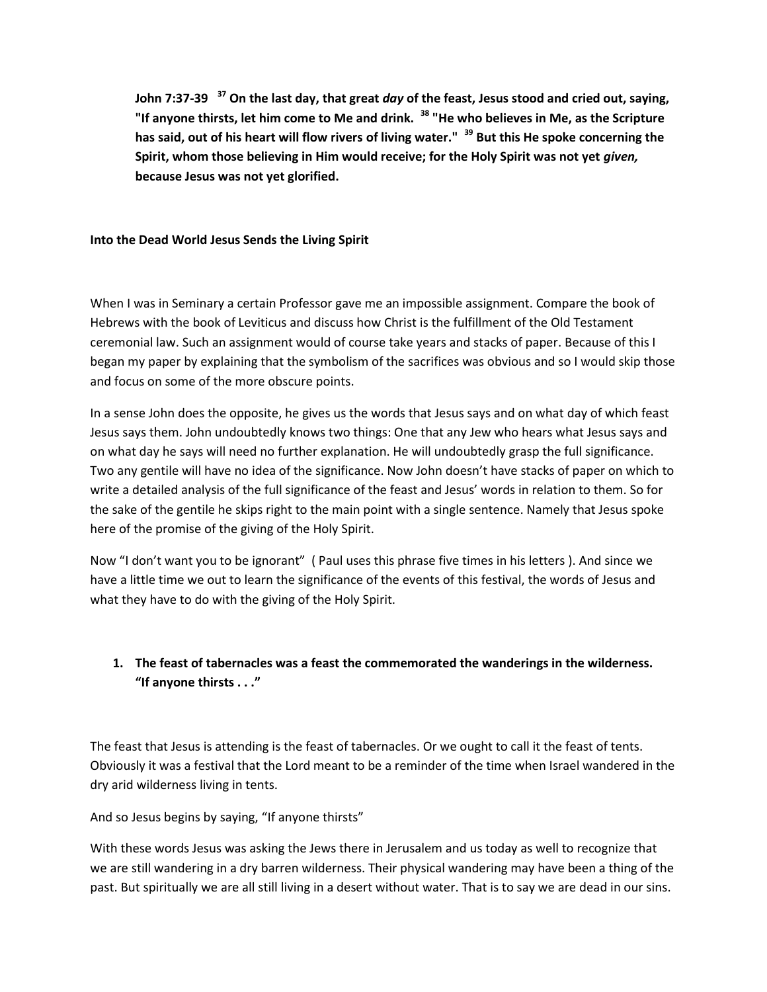**John 7:37-39 <sup>37</sup> On the last day, that great** *day* **of the feast, Jesus stood and cried out, saying, "If anyone thirsts, let him come to Me and drink. <sup>38</sup> "He who believes in Me, as the Scripture has said, out of his heart will flow rivers of living water." <sup>39</sup> But this He spoke concerning the Spirit, whom those believing in Him would receive; for the Holy Spirit was not yet** *given,*  **because Jesus was not yet glorified.**

#### **Into the Dead World Jesus Sends the Living Spirit**

When I was in Seminary a certain Professor gave me an impossible assignment. Compare the book of Hebrews with the book of Leviticus and discuss how Christ is the fulfillment of the Old Testament ceremonial law. Such an assignment would of course take years and stacks of paper. Because of this I began my paper by explaining that the symbolism of the sacrifices was obvious and so I would skip those and focus on some of the more obscure points.

In a sense John does the opposite, he gives us the words that Jesus says and on what day of which feast Jesus says them. John undoubtedly knows two things: One that any Jew who hears what Jesus says and on what day he says will need no further explanation. He will undoubtedly grasp the full significance. Two any gentile will have no idea of the significance. Now John doesn't have stacks of paper on which to write a detailed analysis of the full significance of the feast and Jesus' words in relation to them. So for the sake of the gentile he skips right to the main point with a single sentence. Namely that Jesus spoke here of the promise of the giving of the Holy Spirit.

Now "I don't want you to be ignorant" ( Paul uses this phrase five times in his letters ). And since we have a little time we out to learn the significance of the events of this festival, the words of Jesus and what they have to do with the giving of the Holy Spirit.

## **1. The feast of tabernacles was a feast the commemorated the wanderings in the wilderness. "If anyone thirsts . . ."**

The feast that Jesus is attending is the feast of tabernacles. Or we ought to call it the feast of tents. Obviously it was a festival that the Lord meant to be a reminder of the time when Israel wandered in the dry arid wilderness living in tents.

And so Jesus begins by saying, "If anyone thirsts"

With these words Jesus was asking the Jews there in Jerusalem and us today as well to recognize that we are still wandering in a dry barren wilderness. Their physical wandering may have been a thing of the past. But spiritually we are all still living in a desert without water. That is to say we are dead in our sins.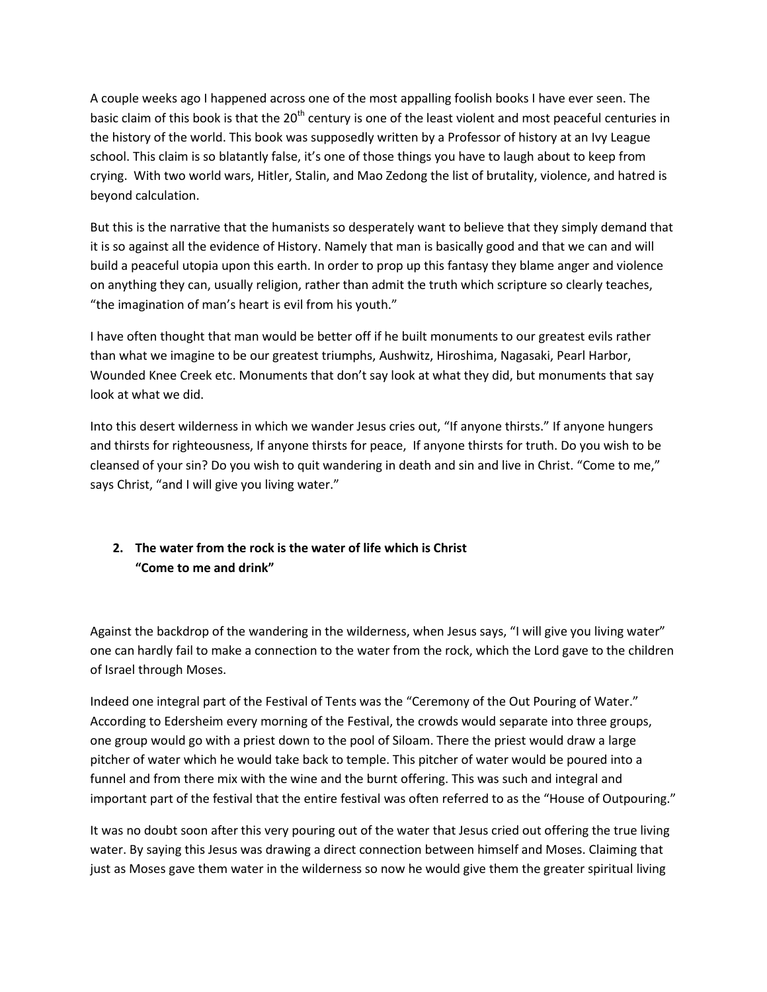A couple weeks ago I happened across one of the most appalling foolish books I have ever seen. The basic claim of this book is that the 20<sup>th</sup> century is one of the least violent and most peaceful centuries in the history of the world. This book was supposedly written by a Professor of history at an Ivy League school. This claim is so blatantly false, it's one of those things you have to laugh about to keep from crying. With two world wars, Hitler, Stalin, and Mao Zedong the list of brutality, violence, and hatred is beyond calculation.

But this is the narrative that the humanists so desperately want to believe that they simply demand that it is so against all the evidence of History. Namely that man is basically good and that we can and will build a peaceful utopia upon this earth. In order to prop up this fantasy they blame anger and violence on anything they can, usually religion, rather than admit the truth which scripture so clearly teaches, "the imagination of man's heart is evil from his youth."

I have often thought that man would be better off if he built monuments to our greatest evils rather than what we imagine to be our greatest triumphs, Aushwitz, Hiroshima, Nagasaki, Pearl Harbor, Wounded Knee Creek etc. Monuments that don't say look at what they did, but monuments that say look at what we did.

Into this desert wilderness in which we wander Jesus cries out, "If anyone thirsts." If anyone hungers and thirsts for righteousness, If anyone thirsts for peace, If anyone thirsts for truth. Do you wish to be cleansed of your sin? Do you wish to quit wandering in death and sin and live in Christ. "Come to me," says Christ, "and I will give you living water."

# **2. The water from the rock is the water of life which is Christ "Come to me and drink"**

Against the backdrop of the wandering in the wilderness, when Jesus says, "I will give you living water" one can hardly fail to make a connection to the water from the rock, which the Lord gave to the children of Israel through Moses.

Indeed one integral part of the Festival of Tents was the "Ceremony of the Out Pouring of Water." According to Edersheim every morning of the Festival, the crowds would separate into three groups, one group would go with a priest down to the pool of Siloam. There the priest would draw a large pitcher of water which he would take back to temple. This pitcher of water would be poured into a funnel and from there mix with the wine and the burnt offering. This was such and integral and important part of the festival that the entire festival was often referred to as the "House of Outpouring."

It was no doubt soon after this very pouring out of the water that Jesus cried out offering the true living water. By saying this Jesus was drawing a direct connection between himself and Moses. Claiming that just as Moses gave them water in the wilderness so now he would give them the greater spiritual living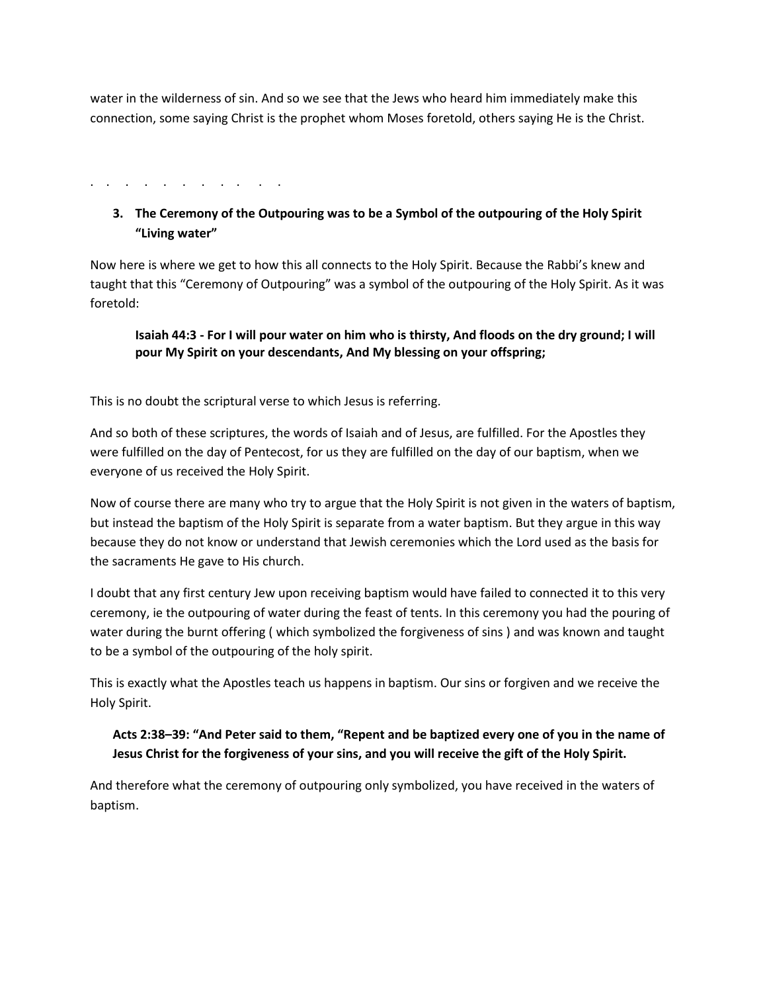water in the wilderness of sin. And so we see that the Jews who heard him immediately make this connection, some saying Christ is the prophet whom Moses foretold, others saying He is the Christ.

. . . . . . . . . . .

# **3. The Ceremony of the Outpouring was to be a Symbol of the outpouring of the Holy Spirit "Living water"**

Now here is where we get to how this all connects to the Holy Spirit. Because the Rabbi's knew and taught that this "Ceremony of Outpouring" was a symbol of the outpouring of the Holy Spirit. As it was foretold:

#### **Isaiah 44:3 - For I will pour water on him who is thirsty, And floods on the dry ground; I will pour My Spirit on your descendants, And My blessing on your offspring;**

This is no doubt the scriptural verse to which Jesus is referring.

And so both of these scriptures, the words of Isaiah and of Jesus, are fulfilled. For the Apostles they were fulfilled on the day of Pentecost, for us they are fulfilled on the day of our baptism, when we everyone of us received the Holy Spirit.

Now of course there are many who try to argue that the Holy Spirit is not given in the waters of baptism, but instead the baptism of the Holy Spirit is separate from a water baptism. But they argue in this way because they do not know or understand that Jewish ceremonies which the Lord used as the basis for the sacraments He gave to His church.

I doubt that any first century Jew upon receiving baptism would have failed to connected it to this very ceremony, ie the outpouring of water during the feast of tents. In this ceremony you had the pouring of water during the burnt offering ( which symbolized the forgiveness of sins ) and was known and taught to be a symbol of the outpouring of the holy spirit.

This is exactly what the Apostles teach us happens in baptism. Our sins or forgiven and we receive the Holy Spirit.

## **Acts 2:38–39: "And Peter said to them, "Repent and be baptized every one of you in the name of Jesus Christ for the forgiveness of your sins, and you will receive the gift of the Holy Spirit.**

And therefore what the ceremony of outpouring only symbolized, you have received in the waters of baptism.